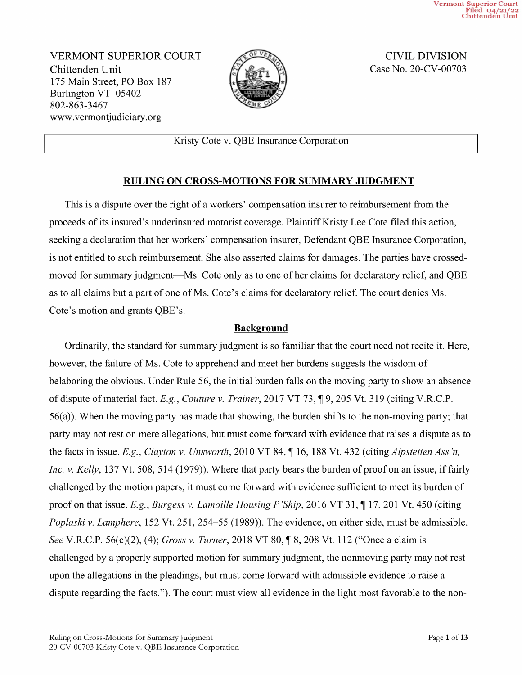Vermont Superior Court<br>Filed 04/21/22<br>Chittenden Unit

VERMONT SUPERIOR COURT Chittenden Unit 175 Main Street, PO Box 187 Burlington VT <sup>05402</sup> 802-863-3467 WWW.Vermontjudiciary.org



CIVIL DIVISION Case No. 20-CV-00703

Kristy Cote V. QBE Insurance Corporation

## RULING ON CROSS-MOTIONS FOR SUMMARY JUDGMENT

This is dispute over the right of workers' compensation insurer to reimbursement from the proceeds of its insured's underinsured motorist coverage. Plaintiff Kristy Lee Cote filed this action, seeking a declaration that her workers' compensation insurer, Defendant QBE Insurance Corporation, is not entitled to such reimbursement. She also asserted claims for damages. The parties have crossed moved for summary judgment—Ms. Cote only as to one of her claims for declaratory relief, and QBE as to all claims but part of one of Ms. Cote's claims for declaratory relief. The court denies Ms. Cote's motion and grants QBE's.

## **Background**

Ordinarily, the standard for summary judgment is so familiar that the court need not recite it. Here, however, the failure of Ms. Cote to apprehend and meet her burdens suggests the wisdom of belaboring the obvious. Under Rule 56, the initial burden falls on the moving party to show an absence of dispute of material fact. E.g., Couture v. Trainer, 2017 VT 73, ¶ 9, 205 Vt. 319 (citing V.R.C.P.  $56(a)$ ). When the moving party has made that showing, the burden shifts to the non-moving party; that party may not rest on mere allegations, but must come forward with evidence that raises a dispute as to the facts in issue. E.g., Clayton v. Unsworth, 2010 VT 84,  $\P$  16, 188 Vt. 432 (citing *Alpstetten Ass'n*, Inc. v. Kelly, 137 Vt. 508, 514 (1979)). Where that party bears the burden of proof on an issue, if fairly challenged by the motion papers, it must come forward with evidence sufficient to meet its burden of proof on that issue. E.g., Burgess v. Lamoille Housing P'Ship, 2016 VT 31,  $\P$  17, 201 Vt. 450 (citing Poplaski v. Lamphere, 152 Vt. 251, 254–55 (1989)). The evidence, on either side, must be admissible. See V.R.C.P. 56(c)(2), (4); Gross v. Turner, 2018 VT 80, ¶ 8, 208 Vt. 112 ("Once a claim is challenged by a properly supported motion for summary judgment, the nonmoving party may not rest upon the allegations in the pleadings, but must come forward with admissible evidence to raise dispute regarding the facts."). The court must view all evidence in the light most favorable to the non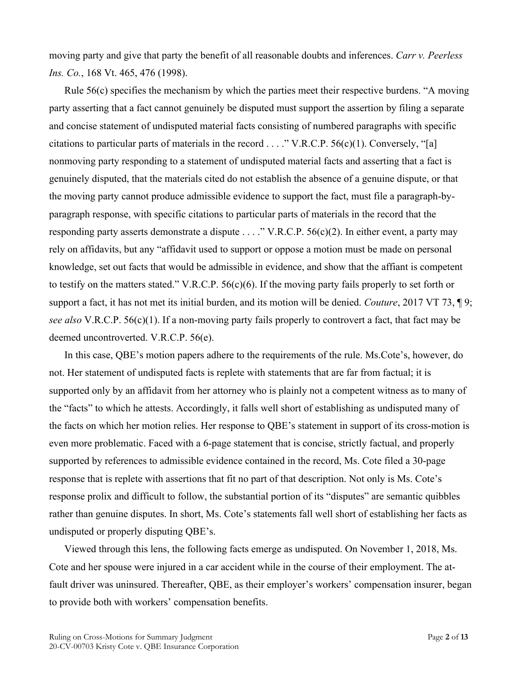moving party and give that party the benefit of all reasonable doubts and inferences. *Carr v. Peerless Ins. Co.*, 168 Vt. 465, 476 (1998).

Rule 56(c) specifies the mechanism by which the parties meet their respective burdens. "A moving party asserting that a fact cannot genuinely be disputed must support the assertion by filing a separate and concise statement of undisputed material facts consisting of numbered paragraphs with specific citations to particular parts of materials in the record  $\dots$ ." V.R.C.P. 56(c)(1). Conversely, "[a] nonmoving party responding to a statement of undisputed material facts and asserting that a fact is genuinely disputed, that the materials cited do not establish the absence of a genuine dispute, or that the moving party cannot produce admissible evidence to support the fact, must file a paragraph-byparagraph response, with specific citations to particular parts of materials in the record that the responding party asserts demonstrate a dispute . . . ." V.R.C.P. 56(c)(2). In either event, a party may rely on affidavits, but any "affidavit used to support or oppose a motion must be made on personal knowledge, set out facts that would be admissible in evidence, and show that the affiant is competent to testify on the matters stated." V.R.C.P.  $56(c)(6)$ . If the moving party fails properly to set forth or support a fact, it has not met its initial burden, and its motion will be denied. *Couture*, 2017 VT 73, ¶ 9; *see also* V.R.C.P. 56(c)(1). If a non-moving party fails properly to controvert a fact, that fact may be deemed uncontroverted. V.R.C.P. 56(e).

In this case, QBE's motion papers adhere to the requirements of the rule. Ms.Cote's, however, do not. Her statement of undisputed facts is replete with statements that are far from factual; it is supported only by an affidavit from her attorney who is plainly not a competent witness as to many of the "facts" to which he attests. Accordingly, it falls well short of establishing as undisputed many of the facts on which her motion relies. Her response to QBE's statement in support of its cross-motion is even more problematic. Faced with a 6-page statement that is concise, strictly factual, and properly supported by references to admissible evidence contained in the record, Ms. Cote filed a 30-page response that is replete with assertions that fit no part of that description. Not only is Ms. Cote's response prolix and difficult to follow, the substantial portion of its "disputes" are semantic quibbles rather than genuine disputes. In short, Ms. Cote's statements fall well short of establishing her facts as undisputed or properly disputing QBE's.

Viewed through this lens, the following facts emerge as undisputed. On November 1, 2018, Ms. Cote and her spouse were injured in a car accident while in the course of their employment. The atfault driver was uninsured. Thereafter, QBE, as their employer's workers' compensation insurer, began to provide both with workers' compensation benefits.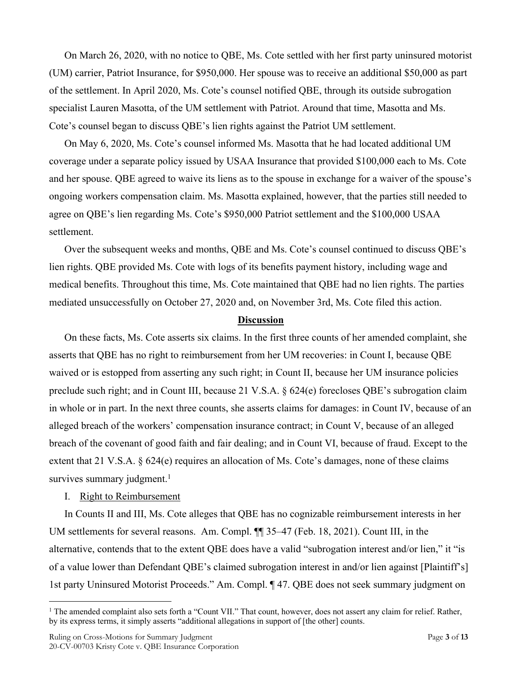On March 26, 2020, with no notice to QBE, Ms. Cote settled with her first party uninsured motorist (UM) carrier, Patriot Insurance, for \$950,000. Her spouse was to receive an additional \$50,000 as part of the settlement. In April 2020, Ms. Cote's counsel notified QBE, through its outside subrogation specialist Lauren Masotta, of the UM settlement with Patriot. Around that time, Masotta and Ms. Cote's counsel began to discuss QBE's lien rights against the Patriot UM settlement.

On May 6, 2020, Ms. Cote's counsel informed Ms. Masotta that he had located additional UM coverage under a separate policy issued by USAA Insurance that provided \$100,000 each to Ms. Cote and her spouse. QBE agreed to waive its liens as to the spouse in exchange for a waiver of the spouse's ongoing workers compensation claim. Ms. Masotta explained, however, that the parties still needed to agree on QBE's lien regarding Ms. Cote's \$950,000 Patriot settlement and the \$100,000 USAA settlement.

Over the subsequent weeks and months, QBE and Ms. Cote's counsel continued to discuss QBE's lien rights. QBE provided Ms. Cote with logs of its benefits payment history, including wage and medical benefits. Throughout this time, Ms. Cote maintained that QBE had no lien rights. The parties mediated unsuccessfully on October 27, 2020 and, on November 3rd, Ms. Cote filed this action.

### **Discussion**

On these facts, Ms. Cote asserts six claims. In the first three counts of her amended complaint, she asserts that QBE has no right to reimbursement from her UM recoveries: in Count I, because QBE waived or is estopped from asserting any such right; in Count II, because her UM insurance policies preclude such right; and in Count III, because 21 V.S.A. § 624(e) forecloses QBE's subrogation claim in whole or in part. In the next three counts, she asserts claims for damages: in Count IV, because of an alleged breach of the workers' compensation insurance contract; in Count V, because of an alleged breach of the covenant of good faith and fair dealing; and in Count VI, because of fraud. Except to the extent that 21 V.S.A. § 624(e) requires an allocation of Ms. Cote's damages, none of these claims survives summary judgment. $1$ 

## I. Right to Reimbursement

In Counts II and III, Ms. Cote alleges that QBE has no cognizable reimbursement interests in her UM settlements for several reasons. Am. Compl. ¶¶ 35–47 (Feb. 18, 2021). Count III, in the alternative, contends that to the extent QBE does have a valid "subrogation interest and/or lien," it "is of a value lower than Defendant QBE's claimed subrogation interest in and/or lien against [Plaintiff's] 1st party Uninsured Motorist Proceeds." Am. Compl. ¶ 47. QBE does not seek summary judgment on

<sup>&</sup>lt;sup>1</sup> The amended complaint also sets forth a "Count VII." That count, however, does not assert any claim for relief. Rather, by its express terms, it simply asserts "additional allegations in support of [the other] counts.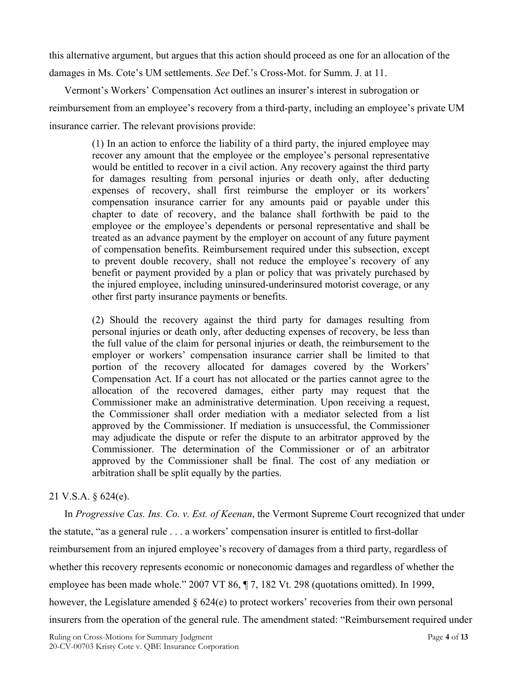this alternative argument, but argues that this action should proceed as one for an allocation of the damages in Ms. Cote's UM settlements. *See* Def.'s Cross-Mot. for Summ. J. at 11.

Vermont's Workers' Compensation Act outlines an insurer's interest in subrogation or reimbursement from an employee's recovery from a third-party, including an employee's private UM insurance carrier. The relevant provisions provide:

> (1) In an action to enforce the liability of a third party, the injured employee may recover any amount that the employee or the employee's personal representative would be entitled to recover in a civil action. Any recovery against the third party for damages resulting from personal injuries or death only, after deducting expenses of recovery, shall first reimburse the employer or its workers' compensation insurance carrier for any amounts paid or payable under this chapter to date of recovery, and the balance shall forthwith be paid to the employee or the employee's dependents or personal representative and shall be treated as an advance payment by the employer on account of any future payment of compensation benefits. Reimbursement required under this subsection, except to prevent double recovery, shall not reduce the employee's recovery of any benefit or payment provided by a plan or policy that was privately purchased by the injured employee, including uninsured-underinsured motorist coverage, or any other first party insurance payments or benefits.

> (2) Should the recovery against the third party for damages resulting from personal injuries or death only, after deducting expenses of recovery, be less than the full value of the claim for personal injuries or death, the reimbursement to the employer or workers' compensation insurance carrier shall be limited to that portion of the recovery allocated for damages covered by the Workers' Compensation Act. If a court has not allocated or the parties cannot agree to the allocation of the recovered damages, either party may request that the Commissioner make an administrative determination. Upon receiving a request, the Commissioner shall order mediation with a mediator selected from a list approved by the Commissioner. If mediation is unsuccessful, the Commissioner may adjudicate the dispute or refer the dispute to an arbitrator approved by the Commissioner. The determination of the Commissioner or of an arbitrator approved by the Commissioner shall be final. The cost of any mediation or arbitration shall be split equally by the parties.

## 21 V.S.A. § 624(e).

In *Progressive Cas. Ins. Co. v. Est. of Keenan*, the Vermont Supreme Court recognized that under the statute, "as a general rule . . . a workers' compensation insurer is entitled to first-dollar reimbursement from an injured employee's recovery of damages from a third party, regardless of whether this recovery represents economic or noneconomic damages and regardless of whether the employee has been made whole." 2007 VT 86, ¶ 7, 182 Vt. 298 (quotations omitted). In 1999, however, the Legislature amended § 624(e) to protect workers' recoveries from their own personal insurers from the operation of the general rule. The amendment stated: "Reimbursement required under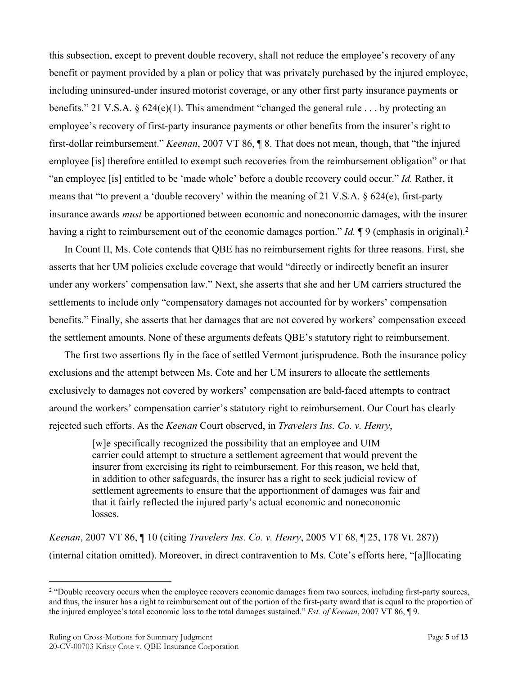this subsection, except to prevent double recovery, shall not reduce the employee's recovery of any benefit or payment provided by a plan or policy that was privately purchased by the injured employee, including uninsured-under insured motorist coverage, or any other first party insurance payments or benefits." 21 V.S.A. § 624(e)(1). This amendment "changed the general rule . . . by protecting an employee's recovery of first-party insurance payments or other benefits from the insurer's right to first-dollar reimbursement." *Keenan*, 2007 VT 86, ¶ 8. That does not mean, though, that "the injured employee [is] therefore entitled to exempt such recoveries from the reimbursement obligation" or that "an employee [is] entitled to be 'made whole' before a double recovery could occur." *Id.* Rather, it means that "to prevent a 'double recovery' within the meaning of 21 V.S.A. § 624(e), first-party insurance awards *must* be apportioned between economic and noneconomic damages, with the insurer having a right to reimbursement out of the economic damages portion." *Id.*  $\P$ 9 (emphasis in original).<sup>2</sup>

In Count II, Ms. Cote contends that QBE has no reimbursement rights for three reasons. First, she asserts that her UM policies exclude coverage that would "directly or indirectly benefit an insurer under any workers' compensation law." Next, she asserts that she and her UM carriers structured the settlements to include only "compensatory damages not accounted for by workers' compensation benefits." Finally, she asserts that her damages that are not covered by workers' compensation exceed the settlement amounts. None of these arguments defeats QBE's statutory right to reimbursement.

The first two assertions fly in the face of settled Vermont jurisprudence. Both the insurance policy exclusions and the attempt between Ms. Cote and her UM insurers to allocate the settlements exclusively to damages not covered by workers' compensation are bald-faced attempts to contract around the workers' compensation carrier's statutory right to reimbursement. Our Court has clearly rejected such efforts. As the *Keenan* Court observed, in *Travelers Ins. Co. v. Henry*,

> [w]e specifically recognized the possibility that an employee and UIM carrier could attempt to structure a settlement agreement that would prevent the insurer from exercising its right to reimbursement. For this reason, we held that, in addition to other safeguards, the insurer has a right to seek judicial review of settlement agreements to ensure that the apportionment of damages was fair and that it fairly reflected the injured party's actual economic and noneconomic losses.

*Keenan*, 2007 VT 86, ¶ 10 (citing *Travelers Ins. Co. v. Henry*, 2005 VT 68, ¶ 25, 178 Vt. 287)) (internal citation omitted). Moreover, in direct contravention to Ms. Cote's efforts here, "[a]llocating

<sup>&</sup>lt;sup>2</sup> "Double recovery occurs when the employee recovers economic damages from two sources, including first-party sources, and thus, the insurer has a right to reimbursement out of the portion of the first-party award that is equal to the proportion of the injured employee's total economic loss to the total damages sustained." *Est. of Keenan*, 2007 VT 86, ¶ 9.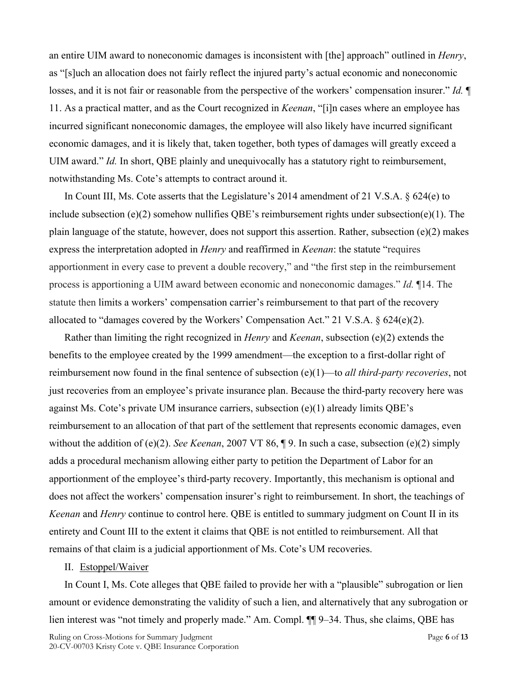an entire UIM award to noneconomic damages is inconsistent with [the] approach" outlined in *Henry*, as "[s]uch an allocation does not fairly reflect the injured party's actual economic and noneconomic losses, and it is not fair or reasonable from the perspective of the workers' compensation insurer." *Id.* ¶ 11. As a practical matter, and as the Court recognized in *Keenan*, "[i]n cases where an employee has incurred significant noneconomic damages, the employee will also likely have incurred significant economic damages, and it is likely that, taken together, both types of damages will greatly exceed a UIM award." *Id.* In short, QBE plainly and unequivocally has a statutory right to reimbursement, notwithstanding Ms. Cote's attempts to contract around it.

In Count III, Ms. Cote asserts that the Legislature's 2014 amendment of 21 V.S.A. § 624(e) to include subsection (e)(2) somehow nullifies QBE's reimbursement rights under subsection(e)(1). The plain language of the statute, however, does not support this assertion. Rather, subsection (e)(2) makes express the interpretation adopted in *Henry* and reaffirmed in *Keenan*: the statute "requires apportionment in every case to prevent a double recovery," and "the first step in the reimbursement process is apportioning a UIM award between economic and noneconomic damages." *Id.* ¶14. The statute then limits a workers' compensation carrier's reimbursement to that part of the recovery allocated to "damages covered by the Workers' Compensation Act." 21 V.S.A. § 624(e)(2).

Rather than limiting the right recognized in *Henry* and *Keenan*, subsection (e)(2) extends the benefits to the employee created by the 1999 amendment—the exception to a first-dollar right of reimbursement now found in the final sentence of subsection (e)(1)—to *all third-party recoveries*, not just recoveries from an employee's private insurance plan. Because the third-party recovery here was against Ms. Cote's private UM insurance carriers, subsection (e)(1) already limits QBE's reimbursement to an allocation of that part of the settlement that represents economic damages, even without the addition of (e)(2). *See Keenan*, 2007 VT 86, ¶ 9. In such a case, subsection (e)(2) simply adds a procedural mechanism allowing either party to petition the Department of Labor for an apportionment of the employee's third-party recovery. Importantly, this mechanism is optional and does not affect the workers' compensation insurer's right to reimbursement. In short, the teachings of *Keenan* and *Henry* continue to control here. QBE is entitled to summary judgment on Count II in its entirety and Count III to the extent it claims that QBE is not entitled to reimbursement. All that remains of that claim is a judicial apportionment of Ms. Cote's UM recoveries.

#### II. Estoppel/Waiver

In Count I, Ms. Cote alleges that QBE failed to provide her with a "plausible" subrogation or lien amount or evidence demonstrating the validity of such a lien, and alternatively that any subrogation or lien interest was "not timely and properly made." Am. Compl.  $\P\P$  9–34. Thus, she claims, QBE has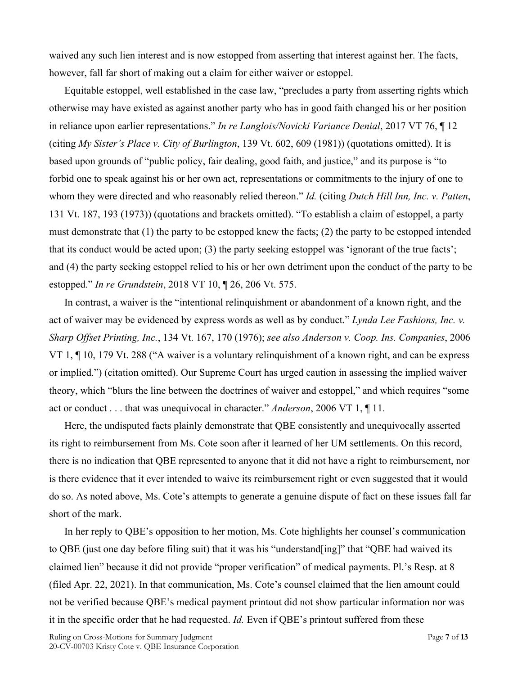waived any such lien interest and is now estopped from asserting that interest against her. The facts, however, fall far short of making out a claim for either waiver or estoppel.

Equitable estoppel, well established in the case law, "precludes a party from asserting rights which otherwise may have existed as against another party who has in good faith changed his or her position in reliance upon earlier representations." *In re Langlois/Novicki Variance Denial*, 2017 VT 76, ¶ 12 (citing *My Sister's Place v. City of Burlington*, 139 Vt. 602, 609 (1981)) (quotations omitted). It is based upon grounds of "public policy, fair dealing, good faith, and justice," and its purpose is "to forbid one to speak against his or her own act, representations or commitments to the injury of one to whom they were directed and who reasonably relied thereon." *Id.* (citing *Dutch Hill Inn, Inc. v. Patten*, 131 Vt. 187, 193 (1973)) (quotations and brackets omitted). "To establish a claim of estoppel, a party must demonstrate that (1) the party to be estopped knew the facts; (2) the party to be estopped intended that its conduct would be acted upon; (3) the party seeking estoppel was 'ignorant of the true facts'; and (4) the party seeking estoppel relied to his or her own detriment upon the conduct of the party to be estopped." *In re Grundstein*, 2018 VT 10, ¶ 26, 206 Vt. 575.

In contrast, a waiver is the "intentional relinquishment or abandonment of a known right, and the act of waiver may be evidenced by express words as well as by conduct." *Lynda Lee Fashions, Inc. v. Sharp Offset Printing, Inc.*, 134 Vt. 167, 170 (1976); *see also Anderson v. Coop. Ins. Companies*, 2006 VT 1, ¶ 10, 179 Vt. 288 ("A waiver is a voluntary relinquishment of a known right, and can be express or implied.") (citation omitted). Our Supreme Court has urged caution in assessing the implied waiver theory, which "blurs the line between the doctrines of waiver and estoppel," and which requires "some act or conduct . . . that was unequivocal in character." *Anderson*, 2006 VT 1, ¶ 11.

Here, the undisputed facts plainly demonstrate that QBE consistently and unequivocally asserted its right to reimbursement from Ms. Cote soon after it learned of her UM settlements. On this record, there is no indication that QBE represented to anyone that it did not have a right to reimbursement, nor is there evidence that it ever intended to waive its reimbursement right or even suggested that it would do so. As noted above, Ms. Cote's attempts to generate a genuine dispute of fact on these issues fall far short of the mark.

In her reply to QBE's opposition to her motion, Ms. Cote highlights her counsel's communication to QBE (just one day before filing suit) that it was his "understand[ing]" that "QBE had waived its claimed lien" because it did not provide "proper verification" of medical payments. Pl.'s Resp. at 8 (filed Apr. 22, 2021). In that communication, Ms. Cote's counsel claimed that the lien amount could not be verified because QBE's medical payment printout did not show particular information nor was it in the specific order that he had requested. *Id.* Even if QBE's printout suffered from these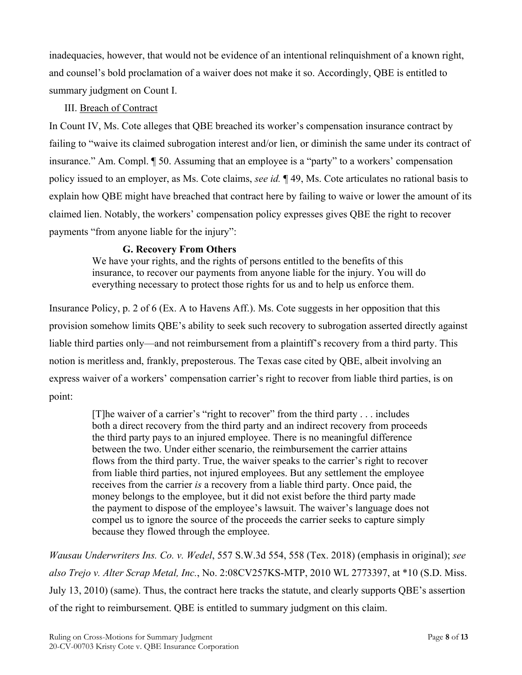inadequacies, however, that would not be evidence of an intentional relinquishment of a known right, and counsel's bold proclamation of a waiver does not make it so. Accordingly, QBE is entitled to summary judgment on Count I.

# III. Breach of Contract

In Count IV, Ms. Cote alleges that QBE breached its worker's compensation insurance contract by failing to "waive its claimed subrogation interest and/or lien, or diminish the same under its contract of insurance." Am. Compl. ¶ 50. Assuming that an employee is a "party" to a workers' compensation policy issued to an employer, as Ms. Cote claims, *see id.* ¶ 49, Ms. Cote articulates no rational basis to explain how QBE might have breached that contract here by failing to waive or lower the amount of its claimed lien. Notably, the workers' compensation policy expresses gives QBE the right to recover payments "from anyone liable for the injury":

# **G. Recovery From Others**

We have your rights, and the rights of persons entitled to the benefits of this insurance, to recover our payments from anyone liable for the injury. You will do everything necessary to protect those rights for us and to help us enforce them.

Insurance Policy, p. 2 of 6 (Ex. A to Havens Aff.). Ms. Cote suggests in her opposition that this provision somehow limits QBE's ability to seek such recovery to subrogation asserted directly against liable third parties only—and not reimbursement from a plaintiff's recovery from a third party. This notion is meritless and, frankly, preposterous. The Texas case cited by QBE, albeit involving an express waiver of a workers' compensation carrier's right to recover from liable third parties, is on point:

> [T]he waiver of a carrier's "right to recover" from the third party . . . includes both a direct recovery from the third party and an indirect recovery from proceeds the third party pays to an injured employee. There is no meaningful difference between the two. Under either scenario, the reimbursement the carrier attains flows from the third party. True, the waiver speaks to the carrier's right to recover from liable third parties, not injured employees. But any settlement the employee receives from the carrier *is* a recovery from a liable third party. Once paid, the money belongs to the employee, but it did not exist before the third party made the payment to dispose of the employee's lawsuit. The waiver's language does not compel us to ignore the source of the proceeds the carrier seeks to capture simply because they flowed through the employee.

*Wausau Underwriters Ins. Co. v. Wedel*, 557 S.W.3d 554, 558 (Tex. 2018) (emphasis in original); *see also Trejo v. Alter Scrap Metal, Inc.*, No. 2:08CV257KS-MTP, 2010 WL 2773397, at \*10 (S.D. Miss. July 13, 2010) (same). Thus, the contract here tracks the statute, and clearly supports QBE's assertion of the right to reimbursement. QBE is entitled to summary judgment on this claim.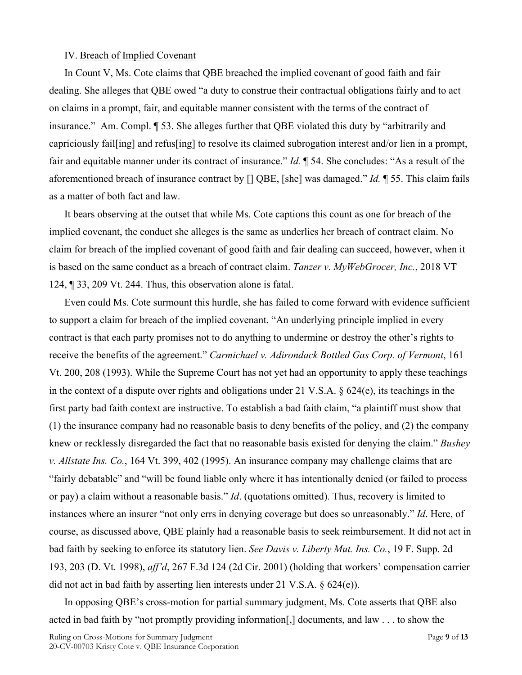#### IV. Breach of Implied Covenant

In Count V, Ms. Cote claims that QBE breached the implied covenant of good faith and fair dealing. She alleges that QBE owed "a duty to construe their contractual obligations fairly and to act on claims in a prompt, fair, and equitable manner consistent with the terms of the contract of insurance." Am. Compl. ¶ 53. She alleges further that QBE violated this duty by "arbitrarily and capriciously fail[ing] and refus[ing] to resolve its claimed subrogation interest and/or lien in a prompt, fair and equitable manner under its contract of insurance." *Id.* ¶ 54. She concludes: "As a result of the aforementioned breach of insurance contract by [] QBE, [she] was damaged." *Id.* ¶ 55. This claim fails as a matter of both fact and law.

It bears observing at the outset that while Ms. Cote captions this count as one for breach of the implied covenant, the conduct she alleges is the same as underlies her breach of contract claim. No claim for breach of the implied covenant of good faith and fair dealing can succeed, however, when it is based on the same conduct as a breach of contract claim. *Tanzer v. MyWebGrocer, Inc.*, 2018 VT 124, ¶ 33, 209 Vt. 244. Thus, this observation alone is fatal.

Even could Ms. Cote surmount this hurdle, she has failed to come forward with evidence sufficient to support a claim for breach of the implied covenant. "An underlying principle implied in every contract is that each party promises not to do anything to undermine or destroy the other's rights to receive the benefits of the agreement." *Carmichael v. Adirondack Bottled Gas Corp. of Vermont*, 161 Vt. 200, 208 (1993). While the Supreme Court has not yet had an opportunity to apply these teachings in the context of a dispute over rights and obligations under 21 V.S.A. § 624(e), its teachings in the first party bad faith context are instructive. To establish a bad faith claim, "a plaintiff must show that (1) the insurance company had no reasonable basis to deny benefits of the policy, and (2) the company knew or recklessly disregarded the fact that no reasonable basis existed for denying the claim." *Bushey v. Allstate Ins. Co.*, 164 Vt. 399, 402 (1995). An insurance company may challenge claims that are "fairly debatable" and "will be found liable only where it has intentionally denied (or failed to process or pay) a claim without a reasonable basis." *Id*. (quotations omitted). Thus, recovery is limited to instances where an insurer "not only errs in denying coverage but does so unreasonably." *Id*. Here, of course, as discussed above, QBE plainly had a reasonable basis to seek reimbursement. It did not act in bad faith by seeking to enforce its statutory lien. *See Davis v. Liberty Mut. Ins. Co.*, 19 F. Supp. 2d 193, 203 (D. Vt. 1998), *aff'd*, 267 F.3d 124 (2d Cir. 2001) (holding that workers' compensation carrier did not act in bad faith by asserting lien interests under 21 V.S.A. § 624(e)).

In opposing QBE's cross-motion for partial summary judgment, Ms. Cote asserts that QBE also acted in bad faith by "not promptly providing information[,] documents, and law . . . to show the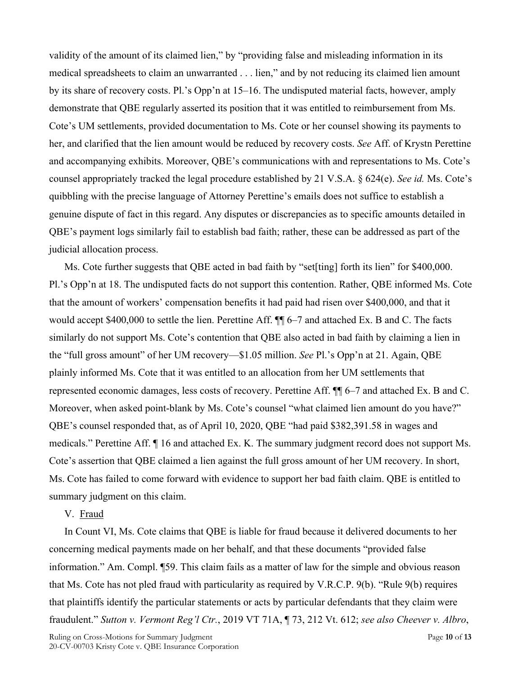validity of the amount of its claimed lien," by "providing false and misleading information in its medical spreadsheets to claim an unwarranted . . . lien," and by not reducing its claimed lien amount by its share of recovery costs. Pl.'s Opp'n at 15–16. The undisputed material facts, however, amply demonstrate that QBE regularly asserted its position that it was entitled to reimbursement from Ms. Cote's UM settlements, provided documentation to Ms. Cote or her counsel showing its payments to her, and clarified that the lien amount would be reduced by recovery costs. *See* Aff. of Krystn Perettine and accompanying exhibits. Moreover, QBE's communications with and representations to Ms. Cote's counsel appropriately tracked the legal procedure established by 21 V.S.A. § 624(e). *See id.* Ms. Cote's quibbling with the precise language of Attorney Perettine's emails does not suffice to establish a genuine dispute of fact in this regard. Any disputes or discrepancies as to specific amounts detailed in QBE's payment logs similarly fail to establish bad faith; rather, these can be addressed as part of the judicial allocation process.

Ms. Cote further suggests that QBE acted in bad faith by "set[ting] forth its lien" for \$400,000. Pl.'s Opp'n at 18. The undisputed facts do not support this contention. Rather, QBE informed Ms. Cote that the amount of workers' compensation benefits it had paid had risen over \$400,000, and that it would accept \$400,000 to settle the lien. Perettine Aff. ¶¶ 6–7 and attached Ex. B and C. The facts similarly do not support Ms. Cote's contention that QBE also acted in bad faith by claiming a lien in the "full gross amount" of her UM recovery—\$1.05 million. *See* Pl.'s Opp'n at 21. Again, QBE plainly informed Ms. Cote that it was entitled to an allocation from her UM settlements that represented economic damages, less costs of recovery. Perettine Aff. ¶¶ 6–7 and attached Ex. B and C. Moreover, when asked point-blank by Ms. Cote's counsel "what claimed lien amount do you have?" QBE's counsel responded that, as of April 10, 2020, QBE "had paid \$382,391.58 in wages and medicals." Perettine Aff. ¶ 16 and attached Ex. K. The summary judgment record does not support Ms. Cote's assertion that QBE claimed a lien against the full gross amount of her UM recovery. In short, Ms. Cote has failed to come forward with evidence to support her bad faith claim. QBE is entitled to summary judgment on this claim.

### V. Fraud

In Count VI, Ms. Cote claims that QBE is liable for fraud because it delivered documents to her concerning medical payments made on her behalf, and that these documents "provided false information." Am. Compl. ¶59. This claim fails as a matter of law for the simple and obvious reason that Ms. Cote has not pled fraud with particularity as required by V.R.C.P. 9(b). "Rule 9(b) requires that plaintiffs identify the particular statements or acts by particular defendants that they claim were fraudulent." *Sutton v. Vermont Reg'l Ctr.*, 2019 VT 71A, ¶ 73, 212 Vt. 612; *see also Cheever v. Albro*,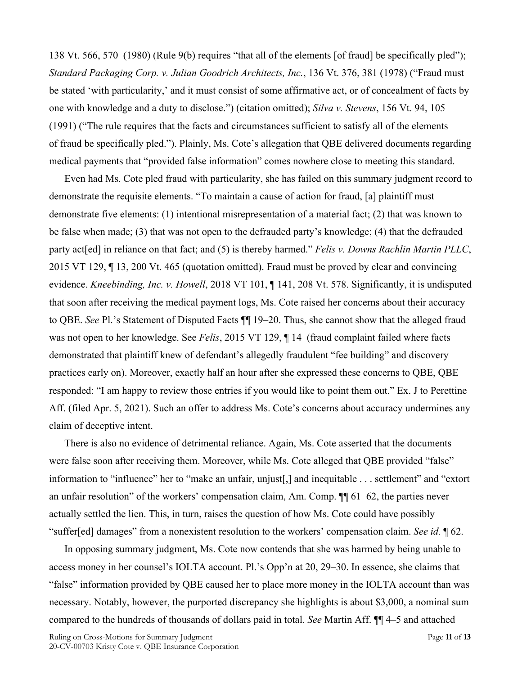138 Vt. 566, 570 (1980) (Rule 9(b) requires "that all of the elements [of fraud] be specifically pled"); *Standard Packaging Corp. v. Julian Goodrich Architects, Inc.*, 136 Vt. 376, 381 (1978) ("Fraud must be stated 'with particularity,' and it must consist of some affirmative act, or of concealment of facts by one with knowledge and a duty to disclose.") (citation omitted); *Silva v. Stevens*, 156 Vt. 94, 105 (1991) ("The rule requires that the facts and circumstances sufficient to satisfy all of the elements of fraud be specifically pled."). Plainly, Ms. Cote's allegation that QBE delivered documents regarding medical payments that "provided false information" comes nowhere close to meeting this standard.

Even had Ms. Cote pled fraud with particularity, she has failed on this summary judgment record to demonstrate the requisite elements. "To maintain a cause of action for fraud, [a] plaintiff must demonstrate five elements: (1) intentional misrepresentation of a material fact; (2) that was known to be false when made; (3) that was not open to the defrauded party's knowledge; (4) that the defrauded party act<sup>[ed]</sup> in reliance on that fact; and (5) is thereby harmed." *Felis v. Downs Rachlin Martin PLLC*, 2015 VT 129, ¶ 13, 200 Vt. 465 (quotation omitted). Fraud must be proved by clear and convincing evidence. *Kneebinding, Inc. v. Howell*, 2018 VT 101, ¶ 141, 208 Vt. 578. Significantly, it is undisputed that soon after receiving the medical payment logs, Ms. Cote raised her concerns about their accuracy to QBE. *See* Pl.'s Statement of Disputed Facts ¶¶ 19–20. Thus, she cannot show that the alleged fraud was not open to her knowledge. See *Felis*, 2015 VT 129, ¶ 14 (fraud complaint failed where facts demonstrated that plaintiff knew of defendant's allegedly fraudulent "fee building" and discovery practices early on). Moreover, exactly half an hour after she expressed these concerns to QBE, QBE responded: "I am happy to review those entries if you would like to point them out." Ex. J to Perettine Aff. (filed Apr. 5, 2021). Such an offer to address Ms. Cote's concerns about accuracy undermines any claim of deceptive intent.

There is also no evidence of detrimental reliance. Again, Ms. Cote asserted that the documents were false soon after receiving them. Moreover, while Ms. Cote alleged that QBE provided "false" information to "influence" her to "make an unfair, unjust[,] and inequitable . . . settlement" and "extort an unfair resolution" of the workers' compensation claim, Am. Comp. ¶¶ 61–62, the parties never actually settled the lien. This, in turn, raises the question of how Ms. Cote could have possibly "suffer[ed] damages" from a nonexistent resolution to the workers' compensation claim. *See id.* ¶ 62.

In opposing summary judgment, Ms. Cote now contends that she was harmed by being unable to access money in her counsel's IOLTA account. Pl.'s Opp'n at 20, 29–30. In essence, she claims that "false" information provided by QBE caused her to place more money in the IOLTA account than was necessary. Notably, however, the purported discrepancy she highlights is about \$3,000, a nominal sum compared to the hundreds of thousands of dollars paid in total. *See* Martin Aff. ¶¶ 4–5 and attached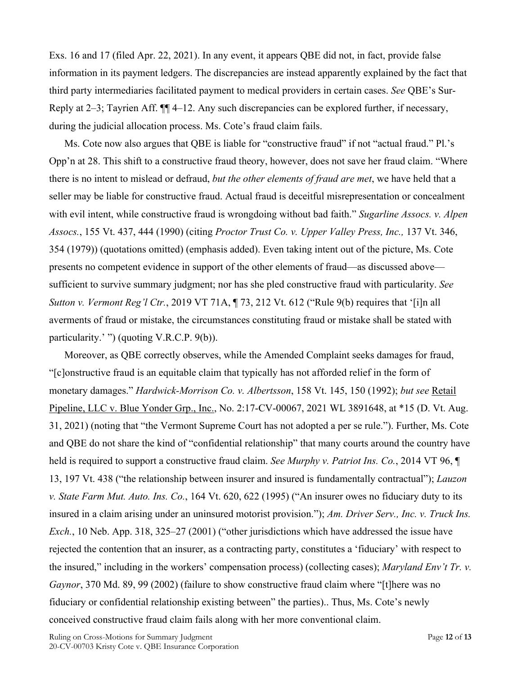Exs. 16 and 17 (filed Apr. 22, 2021). In any event, it appears QBE did not, in fact, provide false information in its payment ledgers. The discrepancies are instead apparently explained by the fact that third party intermediaries facilitated payment to medical providers in certain cases. *See* QBE's Sur-Reply at 2–3; Tayrien Aff. ¶¶ 4–12. Any such discrepancies can be explored further, if necessary, during the judicial allocation process. Ms. Cote's fraud claim fails.

Ms. Cote now also argues that QBE is liable for "constructive fraud" if not "actual fraud." Pl.'s Opp'n at 28. This shift to a constructive fraud theory, however, does not save her fraud claim. "Where there is no intent to mislead or defraud, *but the other elements of fraud are met*, we have held that a seller may be liable for constructive fraud. Actual fraud is deceitful misrepresentation or concealment with evil intent, while constructive fraud is wrongdoing without bad faith." *Sugarline Assocs. v. Alpen Assocs.*, 155 Vt. 437, 444 (1990) (citing *Proctor Trust Co. v. Upper Valley Press, Inc.,* 137 Vt. 346, 354 (1979)) (quotations omitted) (emphasis added). Even taking intent out of the picture, Ms. Cote presents no competent evidence in support of the other elements of fraud—as discussed above sufficient to survive summary judgment; nor has she pled constructive fraud with particularity. *See Sutton v. Vermont Reg'l Ctr.*, 2019 VT 71A, ¶ 73, 212 Vt. 612 ("Rule 9(b) requires that '[i]n all averments of fraud or mistake, the circumstances constituting fraud or mistake shall be stated with particularity.' ") (quoting V.R.C.P. 9(b)).

Moreover, as QBE correctly observes, while the Amended Complaint seeks damages for fraud, "[c]onstructive fraud is an equitable claim that typically has not afforded relief in the form of monetary damages." *Hardwick-Morrison Co. v. Albertsson*, 158 Vt. 145, 150 (1992); *but see* Retail Pipeline, LLC v. Blue Yonder Grp., Inc., No. 2:17-CV-00067, 2021 WL 3891648, at \*15 (D. Vt. Aug. 31, 2021) (noting that "the Vermont Supreme Court has not adopted a per se rule."). Further, Ms. Cote and QBE do not share the kind of "confidential relationship" that many courts around the country have held is required to support a constructive fraud claim. *See Murphy v. Patriot Ins. Co.*, 2014 VT 96, ¶ 13, 197 Vt. 438 ("the relationship between insurer and insured is fundamentally contractual"); *Lauzon v. State Farm Mut. Auto. Ins. Co.*, 164 Vt. 620, 622 (1995) ("An insurer owes no fiduciary duty to its insured in a claim arising under an uninsured motorist provision."); *Am. Driver Serv., Inc. v. Truck Ins. Exch.*, 10 Neb. App. 318, 325–27 (2001) ("other jurisdictions which have addressed the issue have rejected the contention that an insurer, as a contracting party, constitutes a 'fiduciary' with respect to the insured," including in the workers' compensation process) (collecting cases); *Maryland Env't Tr. v. Gaynor*, 370 Md. 89, 99 (2002) (failure to show constructive fraud claim where "[t]here was no fiduciary or confidential relationship existing between" the parties).. Thus, Ms. Cote's newly conceived constructive fraud claim fails along with her more conventional claim.